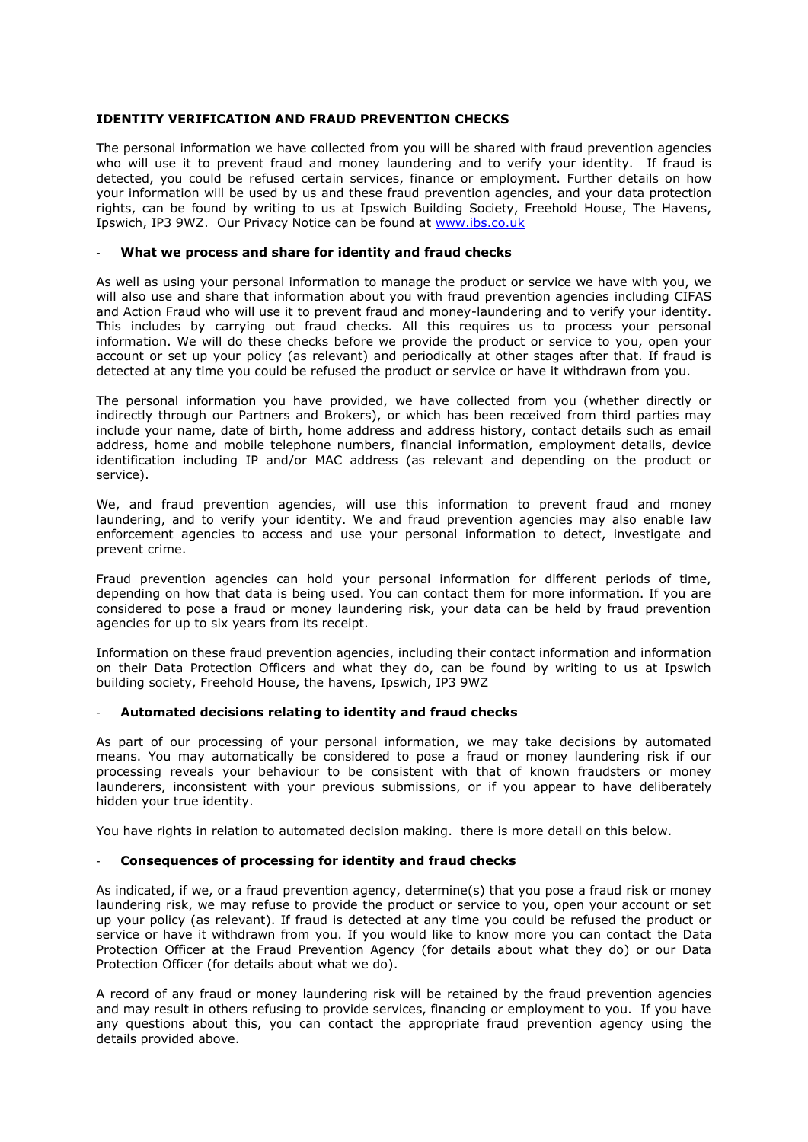# **IDENTITY VERIFICATION AND FRAUD PREVENTION CHECKS**

The personal information we have collected from you will be shared with fraud prevention agencies who will use it to prevent fraud and money laundering and to verify your identity. If fraud is detected, you could be refused certain services, finance or employment. Further details on how your information will be used by us and these fraud prevention agencies, and your data protection rights, can be found by writing to us at Ipswich Building Society, Freehold House, The Havens, Ipswich, IP3 9WZ. Our Privacy Notice can be found at [www.ibs.co.uk](http://www.ibs.co.uk/)

# - **What we process and share for identity and fraud checks**

As well as using your personal information to manage the product or service we have with you, we will also use and share that information about you with fraud prevention agencies including CIFAS and Action Fraud who will use it to prevent fraud and money-laundering and to verify your identity. This includes by carrying out fraud checks. All this requires us to process your personal information. We will do these checks before we provide the product or service to you, open your account or set up your policy (as relevant) and periodically at other stages after that. If fraud is detected at any time you could be refused the product or service or have it withdrawn from you.

The personal information you have provided, we have collected from you (whether directly or indirectly through our Partners and Brokers), or which has been received from third parties may include your name, date of birth, home address and address history, contact details such as email address, home and mobile telephone numbers, financial information, employment details, device identification including IP and/or MAC address (as relevant and depending on the product or service).

We, and fraud prevention agencies, will use this information to prevent fraud and money laundering, and to verify your identity. We and fraud prevention agencies may also enable law enforcement agencies to access and use your personal information to detect, investigate and prevent crime.

Fraud prevention agencies can hold your personal information for different periods of time, depending on how that data is being used. You can contact them for more information. If you are considered to pose a fraud or money laundering risk, your data can be held by fraud prevention agencies for up to six years from its receipt.

Information on these fraud prevention agencies, including their contact information and information on their Data Protection Officers and what they do, can be found by writing to us at Ipswich building society, Freehold House, the havens, Ipswich, IP3 9WZ

# - **Automated decisions relating to identity and fraud checks**

As part of our processing of your personal information, we may take decisions by automated means. You may automatically be considered to pose a fraud or money laundering risk if our processing reveals your behaviour to be consistent with that of known fraudsters or money launderers, inconsistent with your previous submissions, or if you appear to have deliberately hidden your true identity.

You have rights in relation to automated decision making. there is more detail on this below.

# - **Consequences of processing for identity and fraud checks**

As indicated, if we, or a fraud prevention agency, determine(s) that you pose a fraud risk or money laundering risk, we may refuse to provide the product or service to you, open your account or set up your policy (as relevant). If fraud is detected at any time you could be refused the product or service or have it withdrawn from you. If you would like to know more you can contact the Data Protection Officer at the Fraud Prevention Agency (for details about what they do) or our Data Protection Officer (for details about what we do).

A record of any fraud or money laundering risk will be retained by the fraud prevention agencies and may result in others refusing to provide services, financing or employment to you. If you have any questions about this, you can contact the appropriate fraud prevention agency using the details provided above.